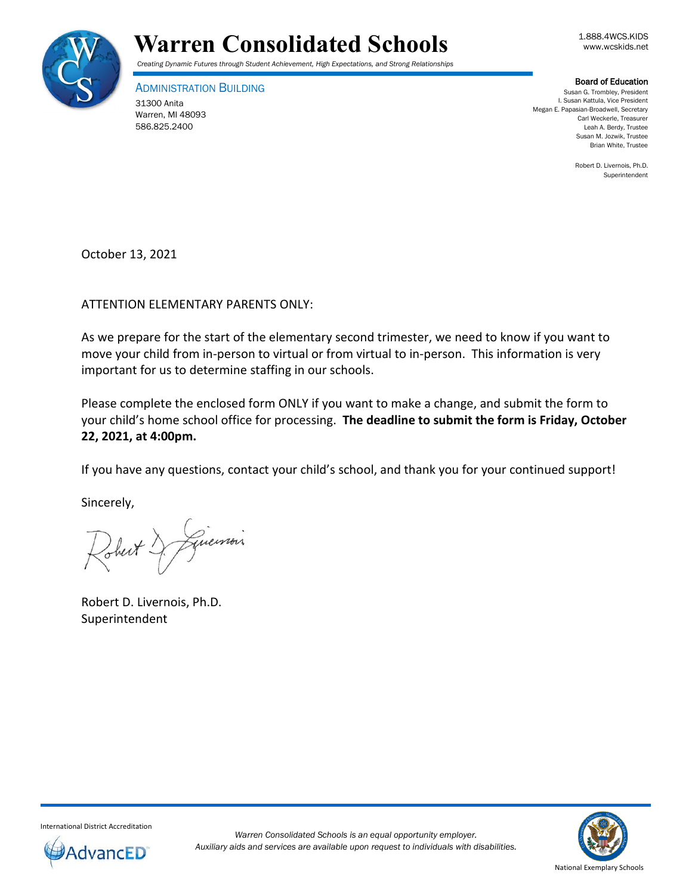



ADMINISTRATION BUILDING 31300 Anita Warren, MI 48093 586.825.2400

**Board of Education**<br>Susan G. Trombley, President I. Susan Kattula, Vice President Megan E. Papasian-Broadwell, Secretary Carl Weckerle, Treasurer Leah A. Berdy, Trustee Susan M. Jozwik, Trustee Brian White, Trustee

> Robert D. Livernois, Ph.D. Superintendent

October 13, 2021

ATTENTION ELEMENTARY PARENTS ONLY:

As we prepare for the start of the elementary second trimester, we need to know if you want to move your child from in-person to virtual or from virtual to in-person. This information is very important for us to determine staffing in our schools.

Please complete the enclosed form ONLY if you want to make a change, and submit the form to your child's home school office for processing. **The deadline to submit the form is Friday, October 22, 2021, at 4:00pm.** 

If you have any questions, contact your child's school, and thank you for your continued support!

Sincerely,

Guerrois Johert!

Robert D. Livernois, Ph.D. Superintendent



International District Accreditation